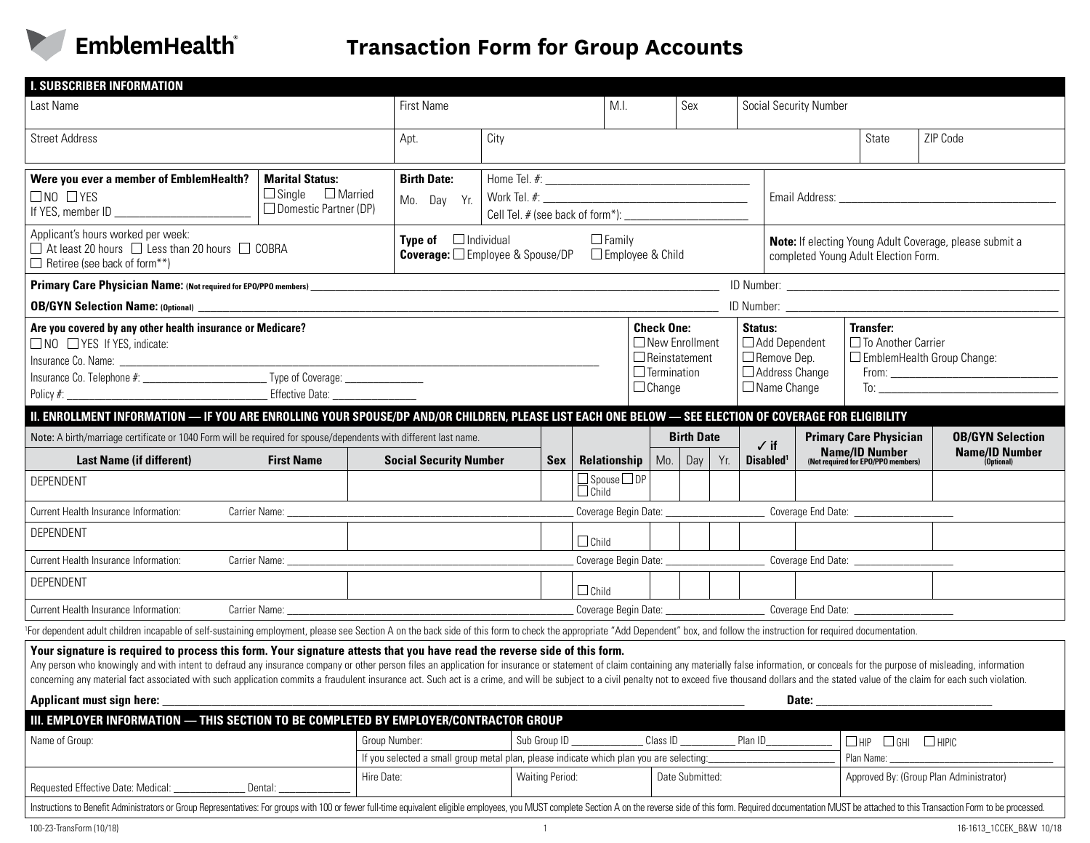

| <b>I. SUBSCRIBER INFORMATION</b>                                                                                                                                                                                                                                                                                                                                                                                                                                                                                                                                                              |                                                                                                                          |                                   |                                                                                                                                |      |                                         |                                                                                                           |                 |                                         |                                                                                                 |                                           |                                                                                                       |                         |
|-----------------------------------------------------------------------------------------------------------------------------------------------------------------------------------------------------------------------------------------------------------------------------------------------------------------------------------------------------------------------------------------------------------------------------------------------------------------------------------------------------------------------------------------------------------------------------------------------|--------------------------------------------------------------------------------------------------------------------------|-----------------------------------|--------------------------------------------------------------------------------------------------------------------------------|------|-----------------------------------------|-----------------------------------------------------------------------------------------------------------|-----------------|-----------------------------------------|-------------------------------------------------------------------------------------------------|-------------------------------------------|-------------------------------------------------------------------------------------------------------|-------------------------|
| Last Name                                                                                                                                                                                                                                                                                                                                                                                                                                                                                                                                                                                     |                                                                                                                          | <b>First Name</b>                 |                                                                                                                                | M.I. |                                         | Sex                                                                                                       |                 |                                         | Social Security Number                                                                          |                                           |                                                                                                       |                         |
| <b>Street Address</b>                                                                                                                                                                                                                                                                                                                                                                                                                                                                                                                                                                         |                                                                                                                          | Apt.                              |                                                                                                                                |      |                                         |                                                                                                           |                 |                                         |                                                                                                 | State                                     | ZIP Code                                                                                              |                         |
| Were you ever a member of EmblemHealth?<br>$\square$ NO $\square$ YES<br>If YES, member ID <b>Solution CONSUMINATION</b>                                                                                                                                                                                                                                                                                                                                                                                                                                                                      | <b>Marital Status:</b><br>$\Box$ Single<br>$\Box$ Married<br>$\Box$ Domestic Partner (DP)                                | <b>Birth Date:</b><br>Mo. Day Yr. |                                                                                                                                |      |                                         |                                                                                                           |                 |                                         |                                                                                                 |                                           |                                                                                                       |                         |
| Applicant's hours worked per week:<br>$\Box$ At least 20 hours $\Box$ Less than 20 hours $\Box$ COBRA<br>$\Box$ Retiree (see back of form**)                                                                                                                                                                                                                                                                                                                                                                                                                                                  | <b>Type of</b> $\Box$ Individual<br>$\Box$ Family<br><b>Coverage:</b> $\square$ Employee & Spouse/DP<br>Employee & Child |                                   |                                                                                                                                |      |                                         | <b>Note:</b> If electing Young Adult Coverage, please submit a<br>completed Young Adult Election Form.    |                 |                                         |                                                                                                 |                                           |                                                                                                       |                         |
|                                                                                                                                                                                                                                                                                                                                                                                                                                                                                                                                                                                               |                                                                                                                          |                                   |                                                                                                                                |      |                                         |                                                                                                           |                 |                                         |                                                                                                 |                                           |                                                                                                       |                         |
|                                                                                                                                                                                                                                                                                                                                                                                                                                                                                                                                                                                               |                                                                                                                          |                                   |                                                                                                                                |      |                                         |                                                                                                           |                 |                                         |                                                                                                 |                                           |                                                                                                       |                         |
| Are you covered by any other health insurance or Medicare?<br>$\Box$ NO $\Box$ YES If YES, indicate:<br>Effective Date:                                                                                                                                                                                                                                                                                                                                                                                                                                                                       |                                                                                                                          |                                   |                                                                                                                                |      |                                         | <b>Check One:</b><br>$\Box$ New Enrollment<br>$\Box$ Reinstatement<br>$\Box$ Termination<br>$\Box$ Change |                 |                                         | Status:<br>$\Box$ Add Dependent<br>□ Remove Dep.<br>$\Box$ Address Change<br>$\Box$ Name Change |                                           | <b>Transfer:</b><br>$\Box$ To Another Carrier<br>$\Box$ EmblemHealth Group Change:<br>$\overline{10}$ |                         |
| II. ENROLLMENT INFORMATION — IF YOU ARE ENROLLING YOUR SPOUSE/DP AND/OR CHILDREN, PLEASE LIST EACH ONE BELOW — SEE ELECTION OF COVERAGE FOR ELIGIBILITY                                                                                                                                                                                                                                                                                                                                                                                                                                       |                                                                                                                          |                                   |                                                                                                                                |      |                                         |                                                                                                           |                 |                                         |                                                                                                 |                                           |                                                                                                       |                         |
| Note: A birth/marriage certificate or 1040 Form will be required for spouse/dependents with different last name.                                                                                                                                                                                                                                                                                                                                                                                                                                                                              |                                                                                                                          |                                   |                                                                                                                                |      |                                         | <b>Birth Date</b>                                                                                         |                 | $\checkmark$ if                         |                                                                                                 | <b>Primary Care Physician</b>             | <b>OB/GYN Selection</b><br><b>Name/ID Number</b>                                                      |                         |
| <b>Last Name (if different)</b>                                                                                                                                                                                                                                                                                                                                                                                                                                                                                                                                                               | <b>First Name</b>                                                                                                        | <b>Social Security Number</b>     |                                                                                                                                | Sex  | <b>Relationship</b> $ $                 |                                                                                                           | Mo. $\vert$ Day | Yr.                                     | Disabled <sup>1</sup>                                                                           |                                           | <b>Name/ID Number</b><br>(Not required for EPO/PPO members)                                           | (Optional)              |
| DEPENDENT                                                                                                                                                                                                                                                                                                                                                                                                                                                                                                                                                                                     |                                                                                                                          |                                   |                                                                                                                                |      | $\Box$ Spouse $\Box$ DP<br>$\Box$ Child |                                                                                                           |                 |                                         |                                                                                                 |                                           |                                                                                                       |                         |
| Current Health Insurance Information:                                                                                                                                                                                                                                                                                                                                                                                                                                                                                                                                                         |                                                                                                                          |                                   |                                                                                                                                |      |                                         |                                                                                                           |                 |                                         |                                                                                                 |                                           |                                                                                                       |                         |
| DEPENDENT                                                                                                                                                                                                                                                                                                                                                                                                                                                                                                                                                                                     |                                                                                                                          |                                   |                                                                                                                                |      | $\Box$ Child                            |                                                                                                           |                 |                                         |                                                                                                 |                                           |                                                                                                       |                         |
| Current Health Insurance Information:                                                                                                                                                                                                                                                                                                                                                                                                                                                                                                                                                         |                                                                                                                          |                                   |                                                                                                                                |      |                                         |                                                                                                           |                 |                                         |                                                                                                 | Coverage End Date: ______________________ |                                                                                                       |                         |
| DEPENDENT                                                                                                                                                                                                                                                                                                                                                                                                                                                                                                                                                                                     |                                                                                                                          |                                   |                                                                                                                                |      | $\Box$ Child                            |                                                                                                           |                 |                                         |                                                                                                 |                                           |                                                                                                       |                         |
| Current Health Insurance Information:                                                                                                                                                                                                                                                                                                                                                                                                                                                                                                                                                         |                                                                                                                          |                                   |                                                                                                                                |      |                                         | Coverage Begin Date: ________________________________Coverage End Date: _________________________________ |                 |                                         |                                                                                                 |                                           |                                                                                                       |                         |
| <sup>1</sup> For dependent adult children incapable of self-sustaining employment, please see Section A on the back side of this form to check the appropriate "Add Dependent" box, and follow the instruction for required documentatio                                                                                                                                                                                                                                                                                                                                                      |                                                                                                                          |                                   |                                                                                                                                |      |                                         |                                                                                                           |                 |                                         |                                                                                                 |                                           |                                                                                                       |                         |
| Your signature is required to process this form. Your signature attests that you have read the reverse side of this form.<br>Any person who knowingly and with intent to defraud any insurance company or other person files an application for insurance or statement of claim containing any materially false information, or conceals for the purpose of<br>concerning any material fact associated with such application commits a fraudulent insurance act. Such act is a crime, and will be subject to a civil penalty not to exced five thousand dollars and the stated value of the c |                                                                                                                          |                                   |                                                                                                                                |      |                                         |                                                                                                           |                 |                                         |                                                                                                 |                                           |                                                                                                       |                         |
| <b>Applicant must sign here:</b>                                                                                                                                                                                                                                                                                                                                                                                                                                                                                                                                                              |                                                                                                                          |                                   |                                                                                                                                |      |                                         |                                                                                                           |                 |                                         | Date:                                                                                           |                                           |                                                                                                       |                         |
| III. EMPLOYER INFORMATION - THIS SECTION TO BE COMPLETED BY EMPLOYER/CONTRACTOR GROUP                                                                                                                                                                                                                                                                                                                                                                                                                                                                                                         |                                                                                                                          |                                   |                                                                                                                                |      |                                         |                                                                                                           |                 |                                         |                                                                                                 |                                           |                                                                                                       |                         |
| Group Number:<br>Name of Group:                                                                                                                                                                                                                                                                                                                                                                                                                                                                                                                                                               |                                                                                                                          |                                   | Sub Group ID<br>Class ID<br>Plan ID<br>If you selected a small group metal plan, please indicate which plan you are selecting: |      |                                         |                                                                                                           |                 |                                         | $\Box$ HIPIC<br>$\Box$ HIP $\Box$ GHI<br>Plan Name:                                             |                                           |                                                                                                       |                         |
|                                                                                                                                                                                                                                                                                                                                                                                                                                                                                                                                                                                               | <b>Waiting Period:</b><br>Hire Date:                                                                                     |                                   |                                                                                                                                |      | Date Submitted:                         |                                                                                                           |                 | Approved By: (Group Plan Administrator) |                                                                                                 |                                           |                                                                                                       |                         |
| Requested Effective Date: Medical:<br>Dental:                                                                                                                                                                                                                                                                                                                                                                                                                                                                                                                                                 |                                                                                                                          |                                   |                                                                                                                                |      |                                         |                                                                                                           |                 |                                         |                                                                                                 |                                           |                                                                                                       |                         |
| Instructions to Benefit Administrators or Group Representatives: For groups with 100 or fewer full-time equivalent eligible employees, you MUST complete Section A on the reverse side of this form. Required documentation MU                                                                                                                                                                                                                                                                                                                                                                |                                                                                                                          |                                   |                                                                                                                                |      |                                         |                                                                                                           |                 |                                         |                                                                                                 |                                           |                                                                                                       |                         |
| 100-23-TransForm (10/18)                                                                                                                                                                                                                                                                                                                                                                                                                                                                                                                                                                      |                                                                                                                          |                                   |                                                                                                                                |      |                                         |                                                                                                           |                 |                                         |                                                                                                 |                                           |                                                                                                       | 16-1613_1CCEK_B&W 10/18 |